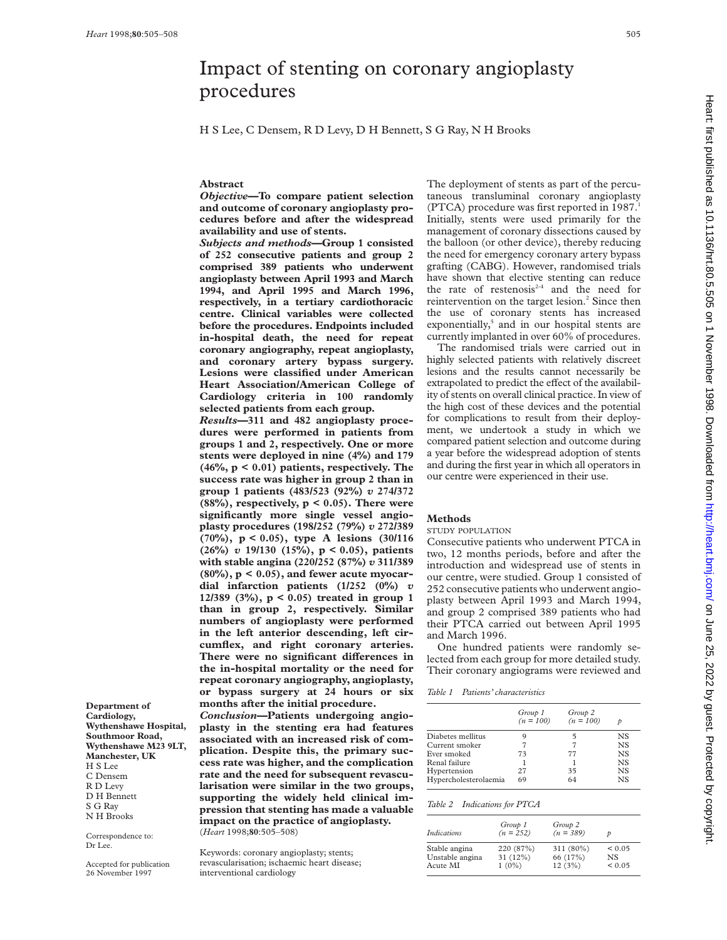**Department of Cardiology,**

**Wythenshawe Hospital, Southmoor Road, Wythenshawe M23 9LT, Manchester, UK** H S Lee C Densem R D Levy D H Bennett S G Ray N H Brooks Correspondence to: Dr Lee.

Accepted for publication 26 November 1997

## Impact of stenting on coronary angioplasty procedures

H S Lee, C Densem, R D Levy, D H Bennett, S G Ray, N H Brooks

## **Abstract**

*Objective***—To compare patient selection and outcome of coronary angioplasty procedures before and after the widespread availability and use of stents.**

*Subjects and methods***—Group 1 consisted of 252 consecutive patients and group 2 comprised 389 patients who underwent angioplasty between April 1993 and March 1994, and April 1995 and March 1996, respectively, in a tertiary cardiothoracic centre. Clinical variables were collected before the procedures. Endpoints included in-hospital death, the need for repeat coronary angiography, repeat angioplasty, and coronary artery bypass surgery. Lesions were classified under American Heart Association/American College of Cardiology criteria in 100 randomly selected patients from each group.**

*Results***—311 and 482 angioplasty procedures were performed in patients from groups 1 and 2, respectively. One or more stents were deployed in nine (4%) and 179 (46%, p < 0.01) patients, respectively. The success rate was higher in group 2 than in group 1 patients (483/523 (92%)** *v* **274/372 (88%), respectively, p < 0.05). There were significantly more single vessel angioplasty procedures (198/252 (79%)** *v* **272/389 (70%), p < 0.05), type A lesions (30/116 (26%)** *v* **19/130 (15%), p < 0.05), patients with stable angina (220/252 (87%)** *v* **311/389 (80%), p < 0.05), and fewer acute myocardial infarction patients (1/252 (0%)** *v* **12/389 (3%), p < 0.05) treated in group 1 than in group 2, respectively. Similar numbers of angioplasty were performed in the left anterior descending, left circumflex, and right coronary arteries.** There were no significant differences in **the in-hospital mortality or the need for repeat coronary angiography, angioplasty, or bypass surgery at 24 hours or six months after the initial procedure.**

*Conclusion***—Patients undergoing angioplasty in the stenting era had features associated with an increased risk of complication. Despite this, the primary success rate was higher, and the complication rate and the need for subsequent revascularisation were similar in the two groups, supporting the widely held clinical impression that stenting has made a valuable impact on the practice of angioplasty.** (*Heart* 1998;**80**:505–508)

Keywords: coronary angioplasty; stents; revascularisation; ischaemic heart disease; interventional cardiology

The deployment of stents as part of the percutaneous transluminal coronary angioplasty (PTCA) procedure was first reported in 1987. Initially, stents were used primarily for the management of coronary dissections caused by the balloon (or other device), thereby reducing the need for emergency coronary artery bypass grafting (CABG). However, randomised trials have shown that elective stenting can reduce the rate of restenosis $2-4$  and the need for reintervention on the target lesion.<sup>2</sup> Since then the use of coronary stents has increased exponentially,<sup>5</sup> and in our hospital stents are currently implanted in over 60% of procedures.

The randomised trials were carried out in highly selected patients with relatively discreet lesions and the results cannot necessarily be extrapolated to predict the effect of the availability of stents on overall clinical practice. In view of the high cost of these devices and the potential for complications to result from their deployment, we undertook a study in which we compared patient selection and outcome during a year before the widespread adoption of stents and during the first year in which all operators in our centre were experienced in their use.

#### **Methods**

STUDY POPULATION

Consecutive patients who underwent PTCA in two, 12 months periods, before and after the introduction and widespread use of stents in our centre, were studied. Group 1 consisted of 252 consecutive patients who underwent angioplasty between April 1993 and March 1994, and group 2 comprised 389 patients who had their PTCA carried out between April 1995 and March 1996.

One hundred patients were randomly selected from each group for more detailed study. Their coronary angiograms were reviewed and

*Table 1 Patients' characteristics*

|                       | Group 1     | Group 2     |           |
|-----------------------|-------------|-------------|-----------|
|                       | $(n = 100)$ | $(n = 100)$ |           |
| Diabetes mellitus     |             |             | NS.       |
| Current smoker        |             |             | NS.       |
| Ever smoked           | 73          | 77          | <b>NS</b> |
| Renal failure         |             |             | <b>NS</b> |
| Hypertension          | 2.7         | 35          | <b>NS</b> |
| Hypercholesterolaemia | 69          | 64          | NS.       |

## *Table 2 Indications for PTCA*

| Indications     | Group 1<br>$(n = 252)$ | Group 2<br>$(n = 389)$ |             |
|-----------------|------------------------|------------------------|-------------|
| Stable angina   | 220 (87%)              | 311 (80%)              | ${}_{0.05}$ |
| Unstable angina | 31 (12%)               | 66 (17%)               | NS.         |
| Acute MI        | $1(0\%)$               | 12(3%)                 | ${}_{0.05}$ |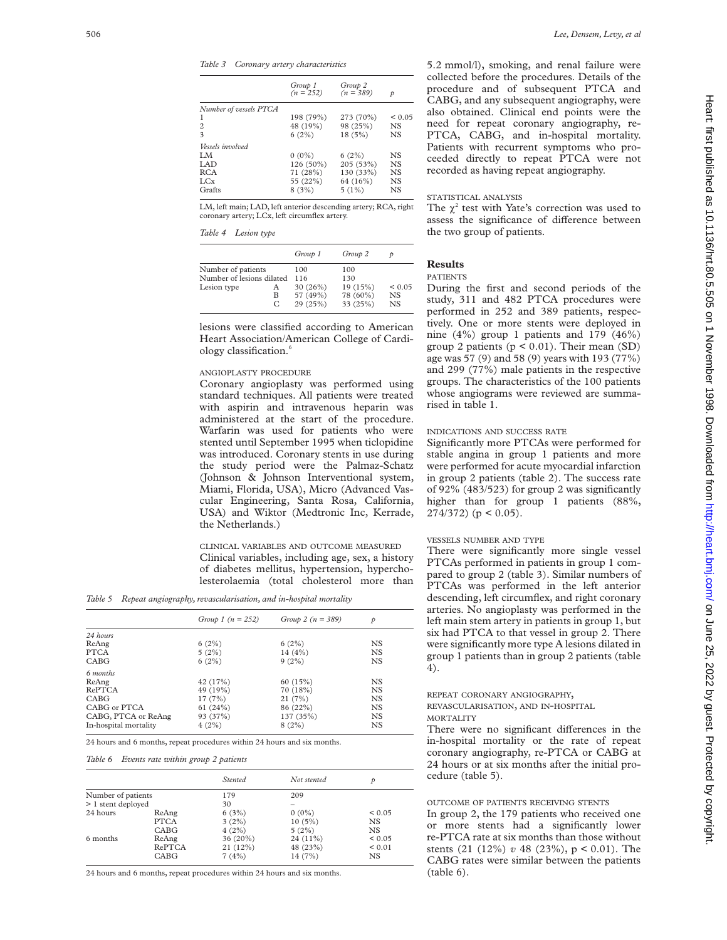*Table 3 Coronary artery characteristics*

|                        | Group 1<br>$(n = 252)$ | Group 2<br>$(n = 389)$ | Þ           |
|------------------------|------------------------|------------------------|-------------|
| Number of vessels PTCA |                        |                        |             |
|                        | 198 (79%)              | 273 (70%)              | ${}_{0.05}$ |
| $\overline{c}$         | 48 (19%)               | 98 (25%)               | NS.         |
| $\mathbf{\hat{z}}$     | $6(2\%)$               | 18(5%)                 | <b>NS</b>   |
| Vessels involved       |                        |                        |             |
| LM.                    | $0(0\%)$               | 6(2%)                  | NS.         |
| LAD.                   | 126 (50%)              | 205(53%)               | <b>NS</b>   |
| <b>RCA</b>             | 71 (28%)               | 130 (33%)              | NS.         |
| LC <sub>x</sub>        | 55 (22%)               | 64 (16%)               | <b>NS</b>   |
| Grafts                 | 8(3%)                  | 5(1%)                  | NS          |

LM, left main; LAD, left anterior descending artery; RCA, right coronary artery; LCx, left circumflex artery.

## *Table 4 Lesion type*

|                           |             | Group 1                          | Group 2                          |                     |
|---------------------------|-------------|----------------------------------|----------------------------------|---------------------|
| Number of patients        |             | 100                              | 100                              |                     |
| Number of lesions dilated |             | 116                              | 130                              |                     |
| Lesion type               | А<br>в<br>C | 30 (26%)<br>57 (49%)<br>29 (25%) | 19 (15%)<br>78 (60%)<br>33 (25%) | < 0.05<br>NS<br>NS. |

lesions were classified according to American Heart Association/American College of Cardiology classification.6

## ANGIOPLASTY PROCEDURE

Coronary angioplasty was performed using standard techniques. All patients were treated with aspirin and intravenous heparin was administered at the start of the procedure. Warfarin was used for patients who were stented until September 1995 when ticlopidine was introduced. Coronary stents in use during the study period were the Palmaz-Schatz (Johnson & Johnson Interventional system, Miami, Florida, USA), Micro (Advanced Vascular Engineering, Santa Rosa, California, USA) and Wiktor (Medtronic Inc, Kerrade, the Netherlands.)

CLINICAL VARIABLES AND OUTCOME MEASURED Clinical variables, including age, sex, a history of diabetes mellitus, hypertension, hypercholesterolaemia (total cholesterol more than

*Table 5 Repeat angiography, revascularisation, and in-hospital mortality*

|                       | Group 1 $(n = 252)$ | Group 2 $(n = 389)$ | p         |  |
|-----------------------|---------------------|---------------------|-----------|--|
| 24 hours              |                     |                     |           |  |
| ReAng                 | 6(2%)               | 6(2%)               | NS        |  |
| <b>PTCA</b>           | 5(2%)               | 14(4%)              | <b>NS</b> |  |
| CABG                  | 6(2%)               | 9(2%)               | <b>NS</b> |  |
| 6 months              |                     |                     |           |  |
| ReAng                 | 42 (17%)            | 60(15%)             | NS        |  |
| RePTCA                | 49 (19%)            | 70 (18%)            | <b>NS</b> |  |
| CABG                  | 17(7%)              | 21(7%)              | <b>NS</b> |  |
| CABG or PTCA          | 61(24%)             | 86 (22%)            | <b>NS</b> |  |
| CABG, PTCA or ReAng   | 93 (37%)            | 137 (35%)           | <b>NS</b> |  |
| In-hospital mortality | 4(2%)               | 8(2%)               | <b>NS</b> |  |
|                       |                     |                     |           |  |

24 hours and 6 months, repeat procedures within 24 hours and six months.

#### *Table 6 Events rate within group 2 patients*

|                    |        | <b>Stented</b> | Not stented | р           |
|--------------------|--------|----------------|-------------|-------------|
| Number of patients |        | 179            | 209         |             |
| > 1 stent deployed |        | 30             |             |             |
| 24 hours           | ReAng  | 6(3%)          | $0(0\%)$    | ${}_{0.05}$ |
|                    | PTCA   | 3(2%)          | 10(5%)      | <b>NS</b>   |
|                    | CABG   | 4(2%)          | 5(2%)       | <b>NS</b>   |
| 6 months           | ReAng  | 36 (20%)       | $24(11\%)$  | ${}_{0.05}$ |
|                    | RePTCA | 21(12%)        | 48 (23%)    | ${}_{0.01}$ |
|                    | CABG   | 7(4%)          | 14 (7%)     | NS          |

24 hours and 6 months, repeat procedures within 24 hours and six months.

5.2 mmol/l), smoking, and renal failure were collected before the procedures. Details of the procedure and of subsequent PTCA and CABG, and any subsequent angiography, were also obtained. Clinical end points were the need for repeat coronary angiography, re-PTCA, CABG, and in-hospital mortality. Patients with recurrent symptoms who proceeded directly to repeat PTCA were not recorded as having repeat angiography.

## STATISTICAL ANALYSIS

The  $\chi^2$  test with Yate's correction was used to assess the significance of difference between the two group of patients.

## **Results**

#### PATIENTS

During the first and second periods of the study, 311 and 482 PTCA procedures were performed in 252 and 389 patients, respectively. One or more stents were deployed in nine (4%) group 1 patients and 179 (46%) group 2 patients  $(p < 0.01)$ . Their mean  $(SD)$ age was 57 (9) and 58 (9) years with 193 (77%) and 299 (77%) male patients in the respective groups. The characteristics of the 100 patients whose angiograms were reviewed are summarised in table 1.

## INDICATIONS AND SUCCESS RATE

Significantly more PTCAs were performed for stable angina in group 1 patients and more were performed for acute myocardial infarction in group 2 patients (table 2). The success rate of 92% (483/523) for group 2 was significantly higher than for group 1 patients (88%,  $274/372$  (p < 0.05).

#### VESSELS NUMBER AND TYPE

There were significantly more single vessel PTCAs performed in patients in group 1 compared to group 2 (table 3). Similar numbers of PTCAs was performed in the left anterior descending, left circumflex, and right coronary arteries. No angioplasty was performed in the left main stem artery in patients in group 1, but six had PTCA to that vessel in group 2. There were significantly more type A lesions dilated in group 1 patients than in group 2 patients (table 4).

#### REPEAT CORONARY ANGIOGRAPHY, REVASCULARISATION, AND IN-HOSPITAL MORTALITY

There were no significant differences in the in-hospital mortality or the rate of repeat coronary angiography, re-PTCA or CABG at 24 hours or at six months after the initial procedure (table 5).

## OUTCOME OF PATIENTS RECEIVING STENTS

In group 2, the 179 patients who received one or more stents had a significantly lower re-PTCA rate at six months than those without stents (21 (12%) *v* 48 (23%), p < 0.01). The CABG rates were similar between the patients (table 6).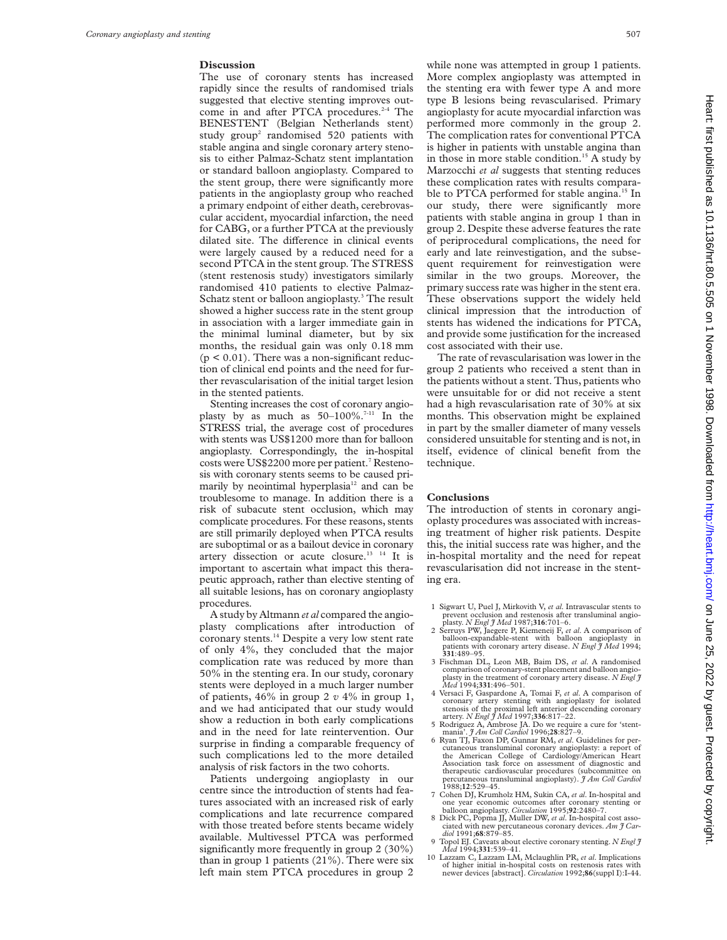#### **Discussion**

The use of coronary stents has increased rapidly since the results of randomised trials suggested that elective stenting improves outcome in and after PTCA procedures.<sup>2-4</sup> The BENESTENT (Belgian Netherlands stent) study group<sup>2</sup> randomised 520 patients with stable angina and single coronary artery stenosis to either Palmaz-Schatz stent implantation or standard balloon angioplasty. Compared to the stent group, there were significantly more patients in the angioplasty group who reached a primary endpoint of either death, cerebrovascular accident, myocardial infarction, the need for CABG, or a further PTCA at the previously dilated site. The difference in clinical events were largely caused by a reduced need for a second PTCA in the stent group. The STRESS (stent restenosis study) investigators similarly randomised 410 patients to elective Palmaz-Schatz stent or balloon angioplasty.<sup>3</sup> The result showed a higher success rate in the stent group in association with a larger immediate gain in the minimal luminal diameter, but by six months, the residual gain was only 0.18 mm  $(p < 0.01)$ . There was a non-significant reduction of clinical end points and the need for further revascularisation of the initial target lesion in the stented patients.

Stenting increases the cost of coronary angioplasty by as much as  $50-100\%$ .<sup>7-11</sup> In the STRESS trial, the average cost of procedures with stents was US\$1200 more than for balloon angioplasty. Correspondingly, the in-hospital costs were US\$2200 more per patient.<sup>7</sup> Restenosis with coronary stents seems to be caused primarily by neointimal hyperplasia<sup>12</sup> and can be troublesome to manage. In addition there is a risk of subacute stent occlusion, which may complicate procedures. For these reasons, stents are still primarily deployed when PTCA results are suboptimal or as a bailout device in coronary artery dissection or acute closure.<sup>13</sup> <sup>14</sup> It is important to ascertain what impact this therapeutic approach, rather than elective stenting of all suitable lesions, has on coronary angioplasty procedures.

A study by Altmann *et al* compared the angioplasty complications after introduction of coronary stents.<sup>14</sup> Despite a very low stent rate of only 4%, they concluded that the major complication rate was reduced by more than 50% in the stenting era. In our study, coronary stents were deployed in a much larger number of patients, 46% in group 2 *v* 4% in group 1, and we had anticipated that our study would show a reduction in both early complications and in the need for late reintervention. Our surprise in finding a comparable frequency of such complications led to the more detailed analysis of risk factors in the two cohorts.

Patients undergoing angioplasty in our centre since the introduction of stents had features associated with an increased risk of early complications and late recurrence compared with those treated before stents became widely available. Multivessel PTCA was performed significantly more frequently in group 2 (30%) than in group 1 patients (21%). There were six left main stem PTCA procedures in group 2 while none was attempted in group 1 patients. More complex angioplasty was attempted in the stenting era with fewer type A and more type B lesions being revascularised. Primary angioplasty for acute myocardial infarction was performed more commonly in the group 2. The complication rates for conventional PTCA is higher in patients with unstable angina than in those in more stable condition.<sup>15</sup> A study by Marzocchi *et al* suggests that stenting reduces these complication rates with results comparable to PTCA performed for stable angina.<sup>15</sup> In our study, there were significantly more patients with stable angina in group 1 than in group 2. Despite these adverse features the rate of periprocedural complications, the need for early and late reinvestigation, and the subsequent requirement for reinvestigation were similar in the two groups. Moreover, the primary success rate was higher in the stent era. These observations support the widely held clinical impression that the introduction of stents has widened the indications for PTCA, and provide some justification for the increased cost associated with their use.

The rate of revascularisation was lower in the group 2 patients who received a stent than in the patients without a stent. Thus, patients who were unsuitable for or did not receive a stent had a high revascularisation rate of 30% at six months. This observation might be explained in part by the smaller diameter of many vessels considered unsuitable for stenting and is not, in itself, evidence of clinical benefit from the technique.

#### **Conclusions**

The introduction of stents in coronary angioplasty procedures was associated with increasing treatment of higher risk patients. Despite this, the initial success rate was higher, and the in-hospital mortality and the need for repeat revascularisation did not increase in the stenting era.

- 1 Sigwart U, Puel J, Mirkovith V, *et al*. Intravascular stents to prevent occlusion and restenosis after transluminal angio-plasty. *N Engl J Med* 1987;**316**:701–6.
- 2 Serruys PW, Jaegere P, Kiemeneij F, *et al*. A comparison of balloon-expandable-stent with balloon angic patients with coronary artery disease. *N Engl J Med* 1994;<br>**331**:489–95.
- 3 Fischman DL, Leon MB, Baim DS, *et al*. A randomised comparison of coronary-stent placement and balloon angio-plasty in the treatment of coronary artery disease. *N Engl J Med* 1994;**331**:496–501.
- 4 Versaci F, Gaspardone A, Tomai F, *et al*. A comparison of coronary artery stenting with angioplasty for isolated stenosis of the proximal left anterior descending coronary artery. *N Engl J Med* 1997;**336**:817–22.
- 5 Rodriguez A, Ambrose JA. Do we require a cure for 'stent-mania'. *J Am Coll Cardiol* 1996;**28**:827–9.
- 6 Ryan TJ, Faxon DP, Gunnar RM, *et al*. Guidelines for percutaneous transluminal coronary angioplasty: a report of the American College of Cardiology/American Heart Association task force on assessment of diagnostic and therapeutic cardiovascular procedures (subcommittee on percutaneous transluminal angioplasty). *J Am Coll Cardiol* 1988;**12**:529–45.
- 7 Cohen DJ, Krumholz HM, Sukin CA, *et al*. In-hospital and one year economic outcomes after coronary stenting or balloon angioplasty. *Circulation* 1995;**92**:2480–7. 8 Dick PC, Popma JJ, Muller DW, *et al*. In-hospital cost asso-
- ciated with new percutaneous coronary devices. *Am J Cardiol* 1991;**68**:879–85.
- 9 Topol EJ. Caveats about elective coronary stenting. *N Engl J Med* 1994;**331**:539–41.
- 10 Lazzam C, Lazzam LM, Mclaughlin PR, *et al*. Implications of higher initial in-hospital costs on restenosis rates with newer devices [abstract]. *Circulation* 1992;**86**(suppl I):I-44.